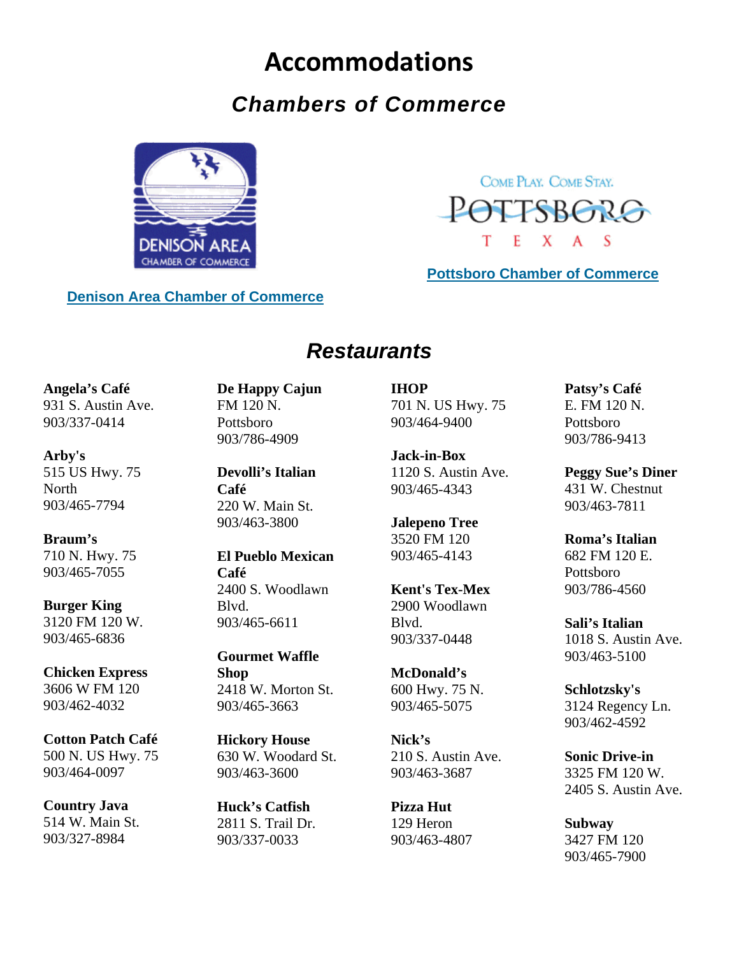# **Accommodations**

## *Chambers of Commerce*



COME PLAY, COME STAY. POTTSBORG T  $E$   $X$   $A$   $S$ 

**[Pottsboro Chamber](http://www.pottsborochamber.com/default.htm) of Commerce**

## **[Denison Area Chamber of Commerce](http://www.denisontexas.us/default.aspx)**

## *Restaurants*

**Angela's Café** 931 S. Austin Ave. 903/337-0414

**Arby's** 515 US Hwy. 75 **North** 903/465-7794

**Braum's** 710 N. Hwy. 75 903/465-7055

**Burger King** 3120 FM 120 W. 903/465-6836

**Chicken Express** 3606 W FM 120 903/462-4032

**Cotton Patch Café** 500 N. US Hwy. 75 903/464-0097

**Country Java** 514 W. Main St. 903/327-8984

**De Happy Cajun** FM 120 N. Pottsboro 903/786-4909

**Devolli's Italian Café** 220 W. Main St. 903/463-3800

**El Pueblo Mexican Café** 2400 S. Woodlawn Blvd. 903/465-6611

**Gourmet Waffle Shop** 2418 W. Morton St. 903/465-3663

**Hickory House**  630 W. Woodard St. 903/463-3600

**Huck's Catfish** 2811 S. Trail Dr. 903/337-0033

**IHOP** 701 N. US Hwy. 75 903/464-9400

**Jack-in-Box** 1120 S. Austin Ave. 903/465-4343

**Jalepeno Tree** 3520 FM 120 903/465-4143

**Kent's Tex-Mex** 2900 Woodlawn Blvd. 903/337-0448

**McDonald's** 600 Hwy. 75 N. 903/465-5075

**Nick's** 210 S. Austin Ave. 903/463-3687

**Pizza Hut** 129 Heron 903/463-4807 **Patsy's Café** E. FM 120 N. Pottsboro 903/786-9413

**Peggy Sue's Diner** 431 W. Chestnut 903/463-7811

**Roma's Italian** 682 FM 120 E. Pottsboro 903/786-4560

**Sali's Italian** 1018 S. Austin Ave. 903/463-5100

**Schlotzsky's** 3124 Regency Ln. 903/462-4592

**Sonic Drive-in** 3325 FM 120 W. 2405 S. Austin Ave.

**Subway**  3427 FM 120 903/465-7900